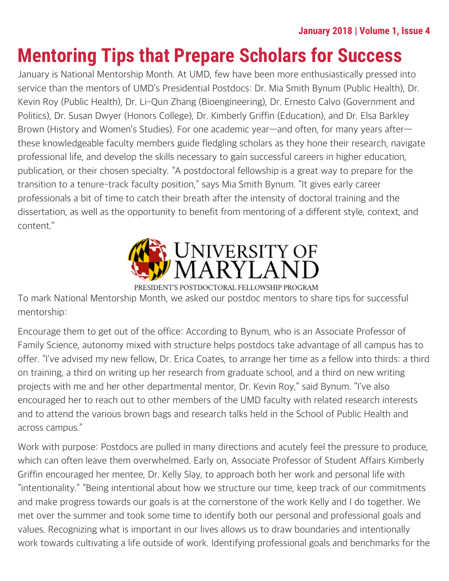# **Mentoring Tips that Prepare Scholars for Success**

January is National Mentorship Month. At UMD, few have been more enthusiastically pressed into service than the mentors of UMD's Presidential Postdocs: Dr. Mia Smith Bynum (Public Health), Dr. Kevin Roy (Public Health), Dr. Li-Qun Zhang (Bioengineering), Dr. Ernesto Calvo (Government and Politics), Dr. Susan Dwyer (Honors College), Dr. Kimberly Griffin (Education), and Dr. Elsa Barkley Brown (History and Women's Studies). For one academic year—and often, for many years after these knowledgeable faculty members guide fledgling scholars as they hone their research, navigate professional life, and develop the skills necessary to gain successful careers in higher education, publication, or their chosen specialty. "A postdoctoral fellowship is a great way to prepare for the transition to a tenure-track faculty position," says Mia Smith Bynum. "It gives early career professionals a bit of time to catch their breath after the intensity of doctoral training and the dissertation, as well as the opportunity to benefit from mentoring of a different style, context, and content."



PRESIDENT'S POSTDOCTORAL FELLOWSHIP PROGRAM

To mark National Mentorship Month, we asked our postdoc mentors to share tips for successful mentorship:

Encourage them to get out of the office: According to Bynum, who is an Associate Professor of Family Science, autonomy mixed with structure helps postdocs take advantage of all campus has to offer. "I've advised my new fellow, Dr. Erica Coates, to arrange her time as a fellow into thirds: a third on training, a third on writing up her research from graduate school, and a third on new writing projects with me and her other departmental mentor, Dr. Kevin Roy," said Bynum. "I've also encouraged her to reach out to other members of the UMD faculty with related research interests and to attend the various brown bags and research talks held in the School of Public Health and across campus."

Work with purpose: Postdocs are pulled in many directions and acutely feel the pressure to produce, which can often leave them overwhelmed. Early on, Associate Professor of Student Affairs Kimberly Griffin encouraged her mentee, Dr. Kelly Slay, to approach both her work and personal life with "intentionality." "Being intentional about how we structure our time, keep track of our commitments and make progress towards our goals is at the cornerstone of the work Kelly and I do together. We met over the summer and took some time to identify both our personal and professional goals and values. Recognizing what is important in our lives allows us to draw boundaries and intentionally work towards cultivating a life outside of work. Identifying professional goals and benchmarks for the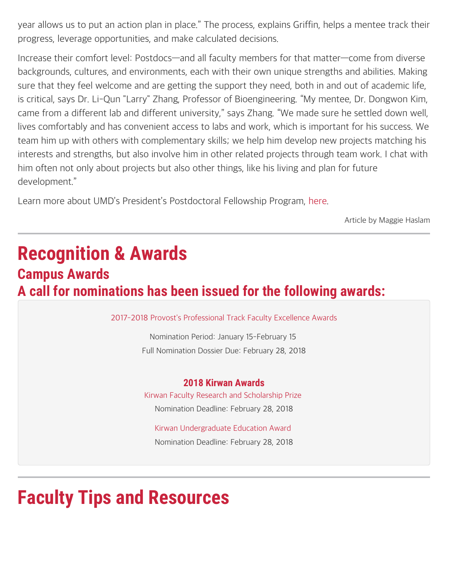year allows us to put an action plan in place." The process, explains Griffin, helps a mentee track their progress, leverage opportunities, and make calculated decisions.

Increase their comfort level: Postdocs—and all faculty members for that matter—come from diverse backgrounds, cultures, and environments, each with their own unique strengths and abilities. Making sure that they feel welcome and are getting the support they need, both in and out of academic life, is critical, says Dr. Li-Qun "Larry" Zhang, Professor of Bioengineering. "My mentee, Dr. Dongwon Kim, came from a different lab and different university," says Zhang. "We made sure he settled down well, lives comfortably and has convenient access to labs and work, which is important for his success. We team him up with others with complementary skills; we help him develop new projects matching his interests and strengths, but also involve him in other related projects through team work. I chat with him often not only about projects but also other things, like his living and plan for future development."

Learn more about UMD's President's Postdoctoral Fellowship Program, [here](https://faculty.umd.edu/presidentspostdoc/).

Article by Maggie Haslam

## **Recognition & Awards Campus Awards A call for nominations has been issued for the following awards:**

[2017-2018 Provost's Professional Track Faculty Excellence Awards](http://faculty.umd.edu/ptk)

Nomination Period: January 15-February 15 Full Nomination Dossier Due: February 28, 2018

#### **2018 Kirwan Awards**

[Kirwan Faculty Research and Scholarship Prize](https://gradschool.umd.edu/funding/faculty-and-staff-awards/kirwan-graduate-scholarship-and-research-prize) Nomination Deadline: February 28, 2018

[Kirwan Undergraduate Education Award](https://faculty.umd.edu/awards/index.html)  Nomination Deadline: February 28, 2018

# **Faculty Tips and Resources**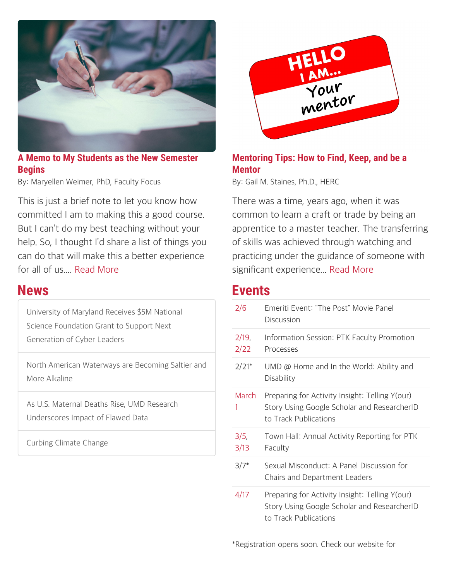

#### **A Memo to My Students as the New Semester Begins**

By: Maryellen Weimer, PhD, Faculty Focus

This is just a brief note to let you know how committed I am to making this a good course. But I can't do my best teaching without your help. So, I thought I'd share a list of things you can do that will make this a better experience for all of us.... [Read More](https://www.facultyfocus.com/articles/teaching-professor-blog/memo-students-new-semester-begins/)

### **News**

[University of Maryland Receives \\$5M National](https://umdrightnow.umd.edu/news/university-maryland-receives-5m-national-science-foundation-grant-support-next-generation-cyber) [Science Foundation Grant to Support Next](https://umdrightnow.umd.edu/news/university-maryland-receives-5m-national-science-foundation-grant-support-next-generation-cyber) [Generation of Cyber Leaders](https://umdrightnow.umd.edu/news/university-maryland-receives-5m-national-science-foundation-grant-support-next-generation-cyber)

[North American Waterways are Becoming Saltier and](https://umdrightnow.umd.edu/news/north-american-waterways-are-becoming-saltier-and-more-alkaline) [More Alkaline](https://umdrightnow.umd.edu/news/north-american-waterways-are-becoming-saltier-and-more-alkaline)

[As U.S. Maternal Deaths Rise, UMD Research](https://umdrightnow.umd.edu/news/us-maternal-deaths-rise-umd-research-underscores-impact-flawed-data) [Underscores Impact of Flawed Data](https://umdrightnow.umd.edu/news/us-maternal-deaths-rise-umd-research-underscores-impact-flawed-data)

[Curbing Climate Change](https://umdrightnow.umd.edu/news/curbing-climate-change)



#### **Mentoring Tips: How to Find, Keep, and be a Mentor**

By: Gail M. Staines, Ph.D., HERC

There was a time, years ago, when it was common to learn a craft or trade by being an apprentice to a master teacher. The transferring of skills was achieved through watching and practicing under the guidance of someone with significant experience... [Read More](https://www.hercjobs.org/career_advice/herc_career_blog/mentoring-tips-how-to-find-keep-and-be-a-mentor)

### **Events**

| 2/6           | Emeriti Event: "The Post" Movie Panel<br>Discussion                                                                    |
|---------------|------------------------------------------------------------------------------------------------------------------------|
| 2/19,<br>2/22 | Information Session: PTK Faculty Promotion<br><b>Processes</b>                                                         |
| $2/21*$       | UMD $@$ Home and In the World: Ability and<br>Disability                                                               |
| March<br>1    | Preparing for Activity Insight: Telling Y(our)<br>Story Using Google Scholar and ResearcherID<br>to Track Publications |
| 3/5,<br>3/13  | Town Hall: Annual Activity Reporting for PTK<br>Faculty                                                                |
| $3/7*$        | Sexual Misconduct: A Panel Discussion for<br>Chairs and Department Leaders                                             |
| 4/17          | Preparing for Activity Insight: Telling Y(our)<br>Story Using Google Scholar and ResearcherID<br>to Track Publications |